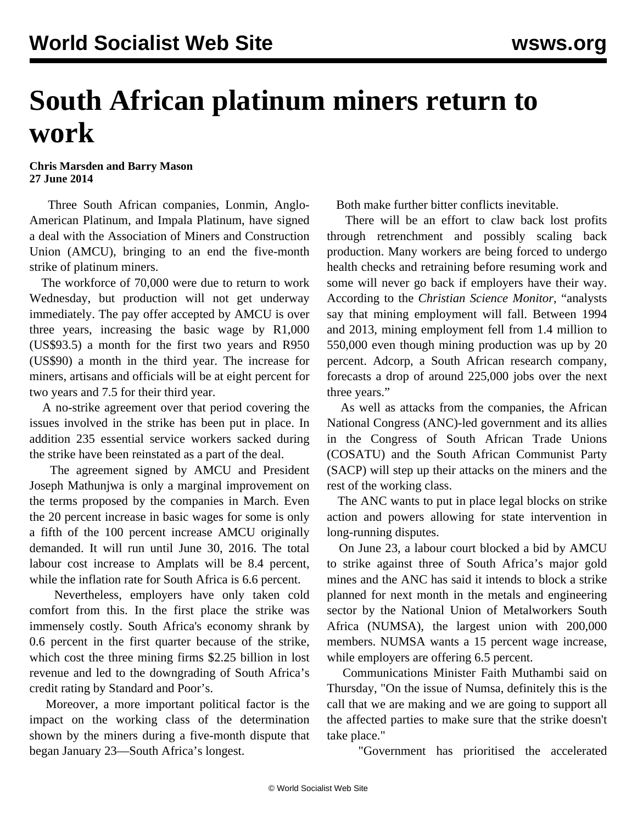## **South African platinum miners return to work**

**Chris Marsden and Barry Mason 27 June 2014**

 Three South African companies, Lonmin, Anglo-American Platinum, and Impala Platinum, have signed a deal with the Association of Miners and Construction Union (AMCU), bringing to an end the five-month strike of platinum miners.

 The workforce of 70,000 were due to return to work Wednesday, but production will not get underway immediately. The pay offer accepted by AMCU is over three years, increasing the basic wage by R1,000 (US\$93.5) a month for the first two years and R950 (US\$90) a month in the third year. The increase for miners, artisans and officials will be at eight percent for two years and 7.5 for their third year.

 A no-strike agreement over that period covering the issues involved in the strike has been put in place. In addition 235 essential service workers sacked during the strike have been reinstated as a part of the deal.

 The agreement signed by AMCU and President Joseph Mathunjwa is only a marginal improvement on the terms proposed by the companies in March. Even the 20 percent increase in basic wages for some is only a fifth of the 100 percent increase AMCU originally demanded. It will run until June 30, 2016. The total labour cost increase to Amplats will be 8.4 percent, while the inflation rate for South Africa is 6.6 percent.

 Nevertheless, employers have only taken cold comfort from this. In the first place the strike was immensely costly. South Africa's economy shrank by 0.6 percent in the first quarter because of the strike, which cost the three mining firms \$2.25 billion in lost revenue and led to the downgrading of South Africa's credit rating by Standard and Poor's.

 Moreover, a more important political factor is the impact on the working class of the determination shown by the miners during a five-month dispute that began January 23—South Africa's longest.

Both make further bitter conflicts inevitable.

 There will be an effort to claw back lost profits through retrenchment and possibly scaling back production. Many workers are being forced to undergo health checks and retraining before resuming work and some will never go back if employers have their way. According to the *Christian Science Monitor*, "analysts say that mining employment will fall. Between 1994 and 2013, mining employment fell from 1.4 million to 550,000 even though mining production was up by 20 percent. Adcorp, a South African research company, forecasts a drop of around 225,000 jobs over the next three years."

 As well as attacks from the companies, the African National Congress (ANC)-led government and its allies in the Congress of South African Trade Unions (COSATU) and the South African Communist Party (SACP) will step up their attacks on the miners and the rest of the working class.

 The ANC wants to put in place legal blocks on strike action and powers allowing for state intervention in long-running disputes.

 On June 23, a labour court blocked a bid by AMCU to strike against three of South Africa's major gold mines and the ANC has said it intends to block a strike planned for next month in the metals and engineering sector by the National Union of Metalworkers South Africa (NUMSA), the largest union with 200,000 members. NUMSA wants a 15 percent wage increase, while employers are offering 6.5 percent.

 Communications Minister Faith Muthambi said on Thursday, "On the issue of Numsa, definitely this is the call that we are making and we are going to support all the affected parties to make sure that the strike doesn't take place."

"Government has prioritised the accelerated